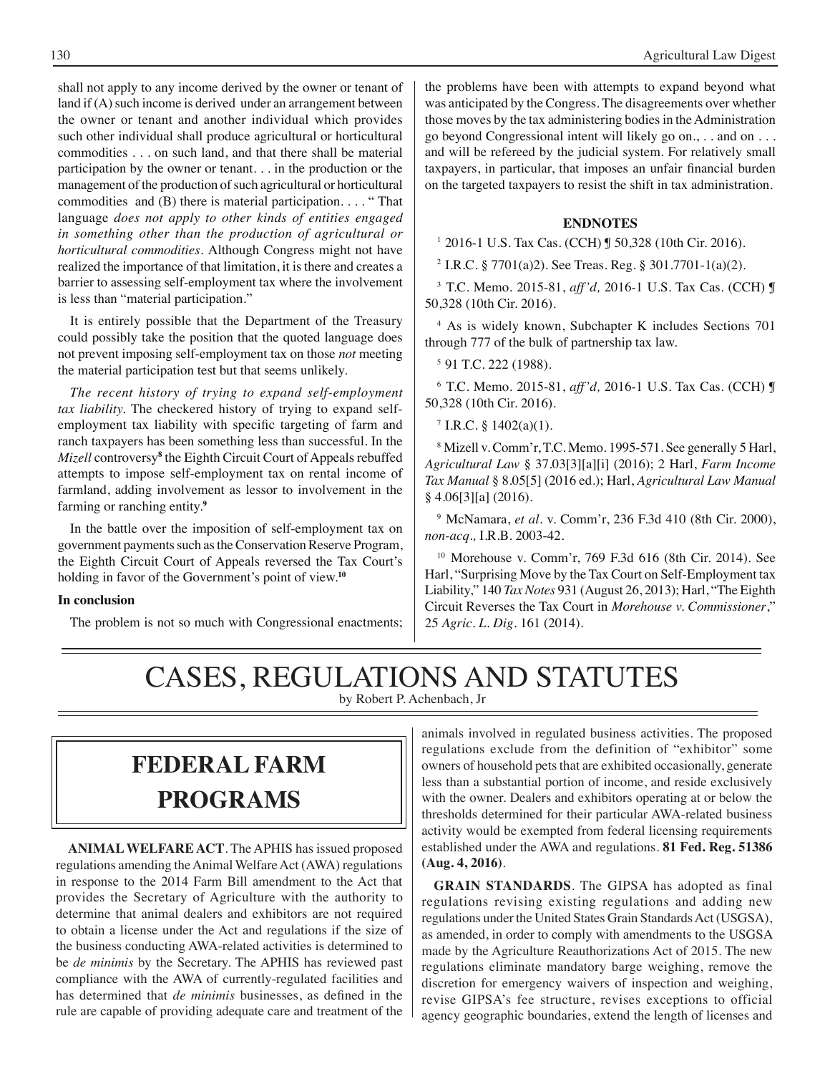shall not apply to any income derived by the owner or tenant of land if (A) such income is derived under an arrangement between the owner or tenant and another individual which provides such other individual shall produce agricultural or horticultural commodities . . . on such land, and that there shall be material participation by the owner or tenant. . . in the production or the management of the production of such agricultural or horticultural commodities and (B) there is material participation. . . . " That language *does not apply to other kinds of entities engaged in something other than the production of agricultural or horticultural commodities.* Although Congress might not have realized the importance of that limitation, it is there and creates a barrier to assessing self-employment tax where the involvement is less than "material participation."

It is entirely possible that the Department of the Treasury could possibly take the position that the quoted language does not prevent imposing self-employment tax on those *not* meeting the material participation test but that seems unlikely.

*The recent history of trying to expand self-employment tax liability.* The checkered history of trying to expand selfemployment tax liability with specific targeting of farm and ranch taxpayers has been something less than successful. In the *Mizell* controversy**<sup>8</sup>** the Eighth Circuit Court of Appeals rebuffed attempts to impose self-employment tax on rental income of farmland, adding involvement as lessor to involvement in the farming or ranching entity.**<sup>9</sup>**

In the battle over the imposition of self-employment tax on government payments such as the Conservation Reserve Program, the Eighth Circuit Court of Appeals reversed the Tax Court's holding in favor of the Government's point of view.**<sup>10</sup>**

#### **In conclusion**

The problem is not so much with Congressional enactments;

the problems have been with attempts to expand beyond what was anticipated by the Congress. The disagreements over whether those moves by the tax administering bodies in the Administration go beyond Congressional intent will likely go on., . . and on . . . and will be refereed by the judicial system. For relatively small taxpayers, in particular, that imposes an unfair financial burden on the targeted taxpayers to resist the shift in tax administration.

#### **ENDNOTES**

1 2016-1 U.S. Tax Cas. (CCH) ¶ 50,328 (10th Cir. 2016).

2 I.R.C. § 7701(a)2). See Treas. Reg. § 301.7701-1(a)(2).

3 T.C. Memo. 2015-81, *aff'd,* 2016-1 U.S. Tax Cas. (CCH) ¶ 50,328 (10th Cir. 2016).

4 As is widely known, Subchapter K includes Sections 701 through 777 of the bulk of partnership tax law.

5 91 T.C. 222 (1988).

6 T.C. Memo. 2015-81, *aff'd,* 2016-1 U.S. Tax Cas. (CCH) ¶ 50,328 (10th Cir. 2016).

 $7$  I.R.C. § 1402(a)(1).

8 Mizell v. Comm'r, T.C. Memo. 1995-571. See generally 5 Harl, *Agricultural Law* § 37.03[3][a][i] (2016); 2 Harl, *Farm Income Tax Manual* § 8.05[5] (2016 ed.); Harl, *Agricultural Law Manual* § 4.06[3][a] (2016).

9 McNamara, *et al*. v. Comm'r, 236 F.3d 410 (8th Cir. 2000), *non-acq.,* I.R.B. 2003-42.

10 Morehouse v. Comm'r, 769 F.3d 616 (8th Cir. 2014). See Harl, "Surprising Move by the Tax Court on Self-Employment tax Liability," 140 *Tax Notes* 931 (August 26, 2013); Harl, "The Eighth Circuit Reverses the Tax Court in *Morehouse v. Commissioner*," 25 *Agric. L. Dig*. 161 (2014).

### CASES, REGULATIONS AND STATUTES by Robert P. Achenbach, Jr

## **federal FARM PROGRAMS**

**ANIMAL WELFARE ACT**. The APHIS has issued proposed regulations amending the Animal Welfare Act (AWA) regulations in response to the 2014 Farm Bill amendment to the Act that provides the Secretary of Agriculture with the authority to determine that animal dealers and exhibitors are not required to obtain a license under the Act and regulations if the size of the business conducting AWA-related activities is determined to be *de minimis* by the Secretary. The APHIS has reviewed past compliance with the AWA of currently-regulated facilities and has determined that *de minimis* businesses, as defined in the rule are capable of providing adequate care and treatment of the

animals involved in regulated business activities. The proposed regulations exclude from the definition of "exhibitor" some owners of household pets that are exhibited occasionally, generate less than a substantial portion of income, and reside exclusively with the owner. Dealers and exhibitors operating at or below the thresholds determined for their particular AWA-related business activity would be exempted from federal licensing requirements established under the AWA and regulations. **81 Fed. Reg. 51386 (Aug. 4, 2016)**.

**GRAIN STANDARDS**. The GIPSA has adopted as final regulations revising existing regulations and adding new regulations under the United States Grain Standards Act (USGSA), as amended, in order to comply with amendments to the USGSA made by the Agriculture Reauthorizations Act of 2015. The new regulations eliminate mandatory barge weighing, remove the discretion for emergency waivers of inspection and weighing, revise GIPSA's fee structure, revises exceptions to official agency geographic boundaries, extend the length of licenses and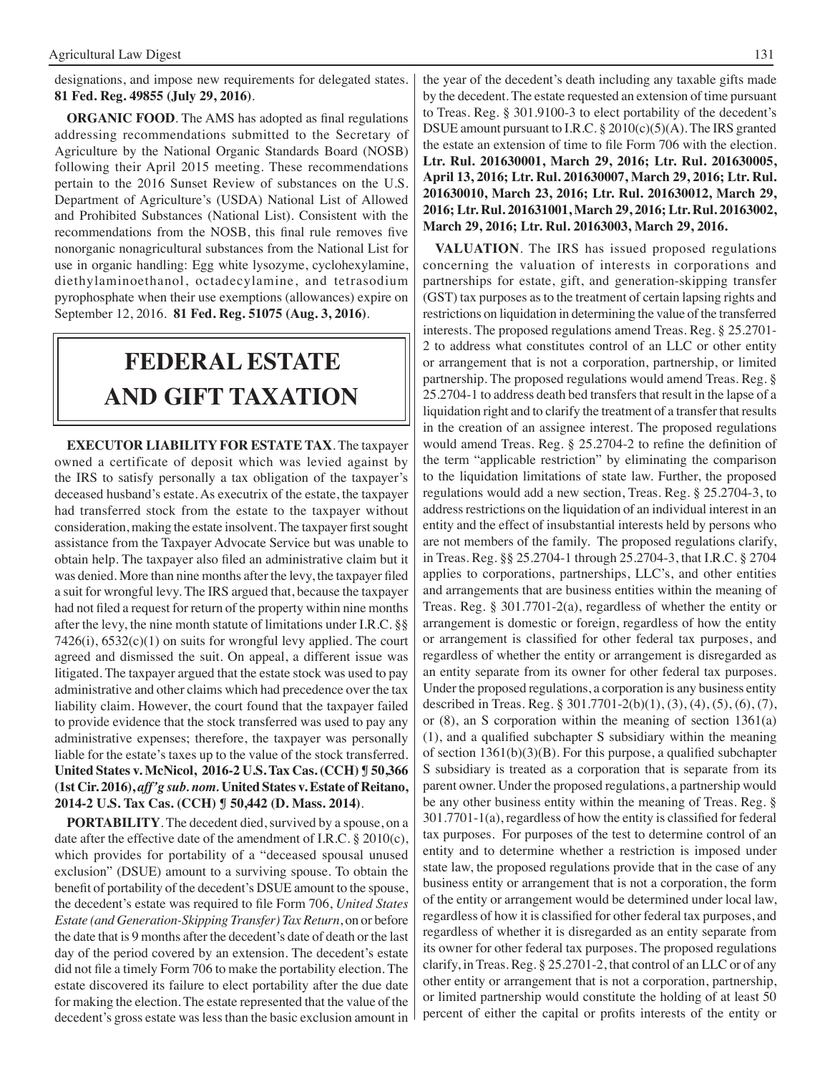designations, and impose new requirements for delegated states. **81 Fed. Reg. 49855 (July 29, 2016)**.

**ORGANIC FOOD**. The AMS has adopted as final regulations addressing recommendations submitted to the Secretary of Agriculture by the National Organic Standards Board (NOSB) following their April 2015 meeting. These recommendations pertain to the 2016 Sunset Review of substances on the U.S. Department of Agriculture's (USDA) National List of Allowed and Prohibited Substances (National List). Consistent with the recommendations from the NOSB, this final rule removes five nonorganic nonagricultural substances from the National List for use in organic handling: Egg white lysozyme, cyclohexylamine, diethylaminoethanol, octadecylamine, and tetrasodium pyrophosphate when their use exemptions (allowances) expire on September 12, 2016. **81 Fed. Reg. 51075 (Aug. 3, 2016)**.

# **FEDERAL ESTATE AND GIFT taxation**

**EXECUTOR LIABILITY FOR ESTATE TAX**. The taxpayer owned a certificate of deposit which was levied against by the IRS to satisfy personally a tax obligation of the taxpayer's deceased husband's estate. As executrix of the estate, the taxpayer had transferred stock from the estate to the taxpayer without consideration, making the estate insolvent. The taxpayer first sought assistance from the Taxpayer Advocate Service but was unable to obtain help. The taxpayer also filed an administrative claim but it was denied. More than nine months after the levy, the taxpayer filed a suit for wrongful levy. The IRS argued that, because the taxpayer had not filed a request for return of the property within nine months after the levy, the nine month statute of limitations under I.R.C. §§  $7426(i)$ ,  $6532(c)(1)$  on suits for wrongful levy applied. The court agreed and dismissed the suit. On appeal, a different issue was litigated. The taxpayer argued that the estate stock was used to pay administrative and other claims which had precedence over the tax liability claim. However, the court found that the taxpayer failed to provide evidence that the stock transferred was used to pay any administrative expenses; therefore, the taxpayer was personally liable for the estate's taxes up to the value of the stock transferred. **United States v. McNicol, 2016-2 U.S. Tax Cas. (CCH) ¶ 50,366 (1st Cir. 2016),** *aff'g sub. nom.* **United States v. Estate of Reitano, 2014-2 U.S. Tax Cas. (CCH) ¶ 50,442 (D. Mass. 2014)**.

**PORTABILITY**. The decedent died, survived by a spouse, on a date after the effective date of the amendment of I.R.C. § 2010(c), which provides for portability of a "deceased spousal unused exclusion" (DSUE) amount to a surviving spouse. To obtain the benefit of portability of the decedent's DSUE amount to the spouse, the decedent's estate was required to file Form 706, *United States Estate (and Generation-Skipping Transfer) Tax Return*, on or before the date that is 9 months after the decedent's date of death or the last day of the period covered by an extension. The decedent's estate did not file a timely Form 706 to make the portability election. The estate discovered its failure to elect portability after the due date for making the election. The estate represented that the value of the decedent's gross estate was less than the basic exclusion amount in the year of the decedent's death including any taxable gifts made by the decedent. The estate requested an extension of time pursuant to Treas. Reg. § 301.9100-3 to elect portability of the decedent's DSUE amount pursuant to I.R.C. § 2010(c)(5)(A). The IRS granted the estate an extension of time to file Form 706 with the election. **Ltr. Rul. 201630001, March 29, 2016; Ltr. Rul. 201630005, April 13, 2016; Ltr. Rul. 201630007, March 29, 2016; Ltr. Rul. 201630010, March 23, 2016; Ltr. Rul. 201630012, March 29, 2016; Ltr. Rul. 201631001, March 29, 2016; Ltr. Rul. 20163002, March 29, 2016; Ltr. Rul. 20163003, March 29, 2016.** 

**VALUATION**. The IRS has issued proposed regulations concerning the valuation of interests in corporations and partnerships for estate, gift, and generation-skipping transfer (GST) tax purposes as to the treatment of certain lapsing rights and restrictions on liquidation in determining the value of the transferred interests. The proposed regulations amend Treas. Reg. § 25.2701- 2 to address what constitutes control of an LLC or other entity or arrangement that is not a corporation, partnership, or limited partnership. The proposed regulations would amend Treas. Reg. § 25.2704-1 to address death bed transfers that result in the lapse of a liquidation right and to clarify the treatment of a transfer that results in the creation of an assignee interest. The proposed regulations would amend Treas. Reg. § 25.2704-2 to refine the definition of the term "applicable restriction" by eliminating the comparison to the liquidation limitations of state law. Further, the proposed regulations would add a new section, Treas. Reg. § 25.2704-3, to address restrictions on the liquidation of an individual interest in an entity and the effect of insubstantial interests held by persons who are not members of the family. The proposed regulations clarify, in Treas. Reg. §§ 25.2704-1 through 25.2704-3, that I.R.C. § 2704 applies to corporations, partnerships, LLC's, and other entities and arrangements that are business entities within the meaning of Treas. Reg. § 301.7701-2(a), regardless of whether the entity or arrangement is domestic or foreign, regardless of how the entity or arrangement is classified for other federal tax purposes, and regardless of whether the entity or arrangement is disregarded as an entity separate from its owner for other federal tax purposes. Under the proposed regulations, a corporation is any business entity described in Treas. Reg. § 301.7701-2(b)(1), (3), (4), (5), (6), (7), or (8), an S corporation within the meaning of section 1361(a) (1), and a qualified subchapter S subsidiary within the meaning of section 1361(b)(3)(B). For this purpose, a qualified subchapter S subsidiary is treated as a corporation that is separate from its parent owner. Under the proposed regulations, a partnership would be any other business entity within the meaning of Treas. Reg. § 301.7701-1(a), regardless of how the entity is classified for federal tax purposes. For purposes of the test to determine control of an entity and to determine whether a restriction is imposed under state law, the proposed regulations provide that in the case of any business entity or arrangement that is not a corporation, the form of the entity or arrangement would be determined under local law, regardless of how it is classified for other federal tax purposes, and regardless of whether it is disregarded as an entity separate from its owner for other federal tax purposes. The proposed regulations clarify, in Treas. Reg. § 25.2701-2, that control of an LLC or of any other entity or arrangement that is not a corporation, partnership, or limited partnership would constitute the holding of at least 50 percent of either the capital or profits interests of the entity or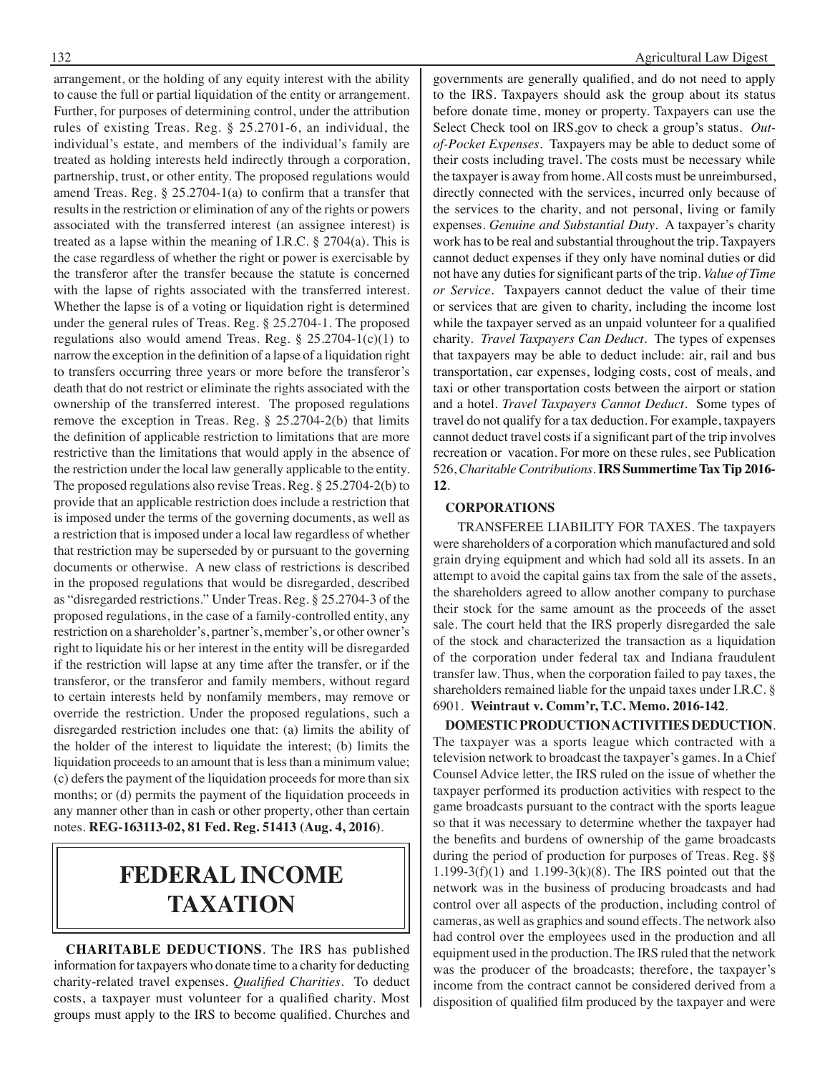arrangement, or the holding of any equity interest with the ability to cause the full or partial liquidation of the entity or arrangement. Further, for purposes of determining control, under the attribution rules of existing Treas. Reg. § 25.2701-6, an individual, the individual's estate, and members of the individual's family are treated as holding interests held indirectly through a corporation, partnership, trust, or other entity. The proposed regulations would amend Treas. Reg. § 25.2704-1(a) to confirm that a transfer that results in the restriction or elimination of any of the rights or powers associated with the transferred interest (an assignee interest) is treated as a lapse within the meaning of I.R.C. § 2704(a). This is the case regardless of whether the right or power is exercisable by the transferor after the transfer because the statute is concerned with the lapse of rights associated with the transferred interest. Whether the lapse is of a voting or liquidation right is determined under the general rules of Treas. Reg. § 25.2704-1. The proposed regulations also would amend Treas. Reg.  $\S 25.2704-1(c)(1)$  to narrow the exception in the definition of a lapse of a liquidation right to transfers occurring three years or more before the transferor's death that do not restrict or eliminate the rights associated with the ownership of the transferred interest. The proposed regulations remove the exception in Treas. Reg. § 25.2704-2(b) that limits the definition of applicable restriction to limitations that are more restrictive than the limitations that would apply in the absence of the restriction under the local law generally applicable to the entity. The proposed regulations also revise Treas. Reg. § 25.2704-2(b) to provide that an applicable restriction does include a restriction that is imposed under the terms of the governing documents, as well as a restriction that is imposed under a local law regardless of whether that restriction may be superseded by or pursuant to the governing documents or otherwise. A new class of restrictions is described in the proposed regulations that would be disregarded, described as "disregarded restrictions." Under Treas. Reg. § 25.2704-3 of the proposed regulations, in the case of a family-controlled entity, any restriction on a shareholder's, partner's, member's, or other owner's right to liquidate his or her interest in the entity will be disregarded if the restriction will lapse at any time after the transfer, or if the transferor, or the transferor and family members, without regard to certain interests held by nonfamily members, may remove or override the restriction. Under the proposed regulations, such a disregarded restriction includes one that: (a) limits the ability of the holder of the interest to liquidate the interest; (b) limits the liquidation proceeds to an amount that is less than a minimum value; (c) defers the payment of the liquidation proceeds for more than six months; or (d) permits the payment of the liquidation proceeds in any manner other than in cash or other property, other than certain notes. **REG-163113-02, 81 Fed. Reg. 51413 (Aug. 4, 2016)**.

### **federal income taxation**

**CHARITABLE DEDUCTIONS**. The IRS has published information for taxpayers who donate time to a charity for deducting charity-related travel expenses. *Qualified Charities*. To deduct costs, a taxpayer must volunteer for a qualified charity. Most groups must apply to the IRS to become qualified. Churches and

governments are generally qualified, and do not need to apply to the IRS. Taxpayers should ask the group about its status before donate time, money or property. Taxpayers can use the Select Check tool on IRS.gov to check a group's status. *Outof-Pocket Expenses*. Taxpayers may be able to deduct some of their costs including travel. The costs must be necessary while the taxpayer is away from home. All costs must be unreimbursed, directly connected with the services, incurred only because of the services to the charity, and not personal, living or family expenses. *Genuine and Substantial Duty*. A taxpayer's charity work has to be real and substantial throughout the trip. Taxpayers cannot deduct expenses if they only have nominal duties or did not have any duties for significant parts of the trip. *Value of Time or Service*. Taxpayers cannot deduct the value of their time or services that are given to charity, including the income lost while the taxpayer served as an unpaid volunteer for a qualified charity. *Travel Taxpayers Can Deduct*. The types of expenses that taxpayers may be able to deduct include: air, rail and bus transportation, car expenses, lodging costs, cost of meals, and taxi or other transportation costs between the airport or station and a hotel. *Travel Taxpayers Cannot Deduct*. Some types of travel do not qualify for a tax deduction. For example, taxpayers cannot deduct travel costs if a significant part of the trip involves recreation or vacation. For more on these rules, see Publication 526, *Charitable Contributions*. **IRS Summertime Tax Tip 2016- 12**.

#### **CORPORATIONS**

 TRANSFEREE LIABILITY FOR TAXES. The taxpayers were shareholders of a corporation which manufactured and sold grain drying equipment and which had sold all its assets. In an attempt to avoid the capital gains tax from the sale of the assets, the shareholders agreed to allow another company to purchase their stock for the same amount as the proceeds of the asset sale. The court held that the IRS properly disregarded the sale of the stock and characterized the transaction as a liquidation of the corporation under federal tax and Indiana fraudulent transfer law. Thus, when the corporation failed to pay taxes, the shareholders remained liable for the unpaid taxes under I.R.C. § 6901. **Weintraut v. Comm'r, T.C. Memo. 2016-142**.

**DOMESTIC PRODUCTION ACTIVITIES DEDUCTION**. The taxpayer was a sports league which contracted with a television network to broadcast the taxpayer's games. In a Chief Counsel Advice letter, the IRS ruled on the issue of whether the taxpayer performed its production activities with respect to the game broadcasts pursuant to the contract with the sports league so that it was necessary to determine whether the taxpayer had the benefits and burdens of ownership of the game broadcasts during the period of production for purposes of Treas. Reg. §§ 1.199-3(f)(1) and 1.199-3(k)(8). The IRS pointed out that the network was in the business of producing broadcasts and had control over all aspects of the production, including control of cameras, as well as graphics and sound effects. The network also had control over the employees used in the production and all equipment used in the production. The IRS ruled that the network was the producer of the broadcasts; therefore, the taxpayer's income from the contract cannot be considered derived from a disposition of qualified film produced by the taxpayer and were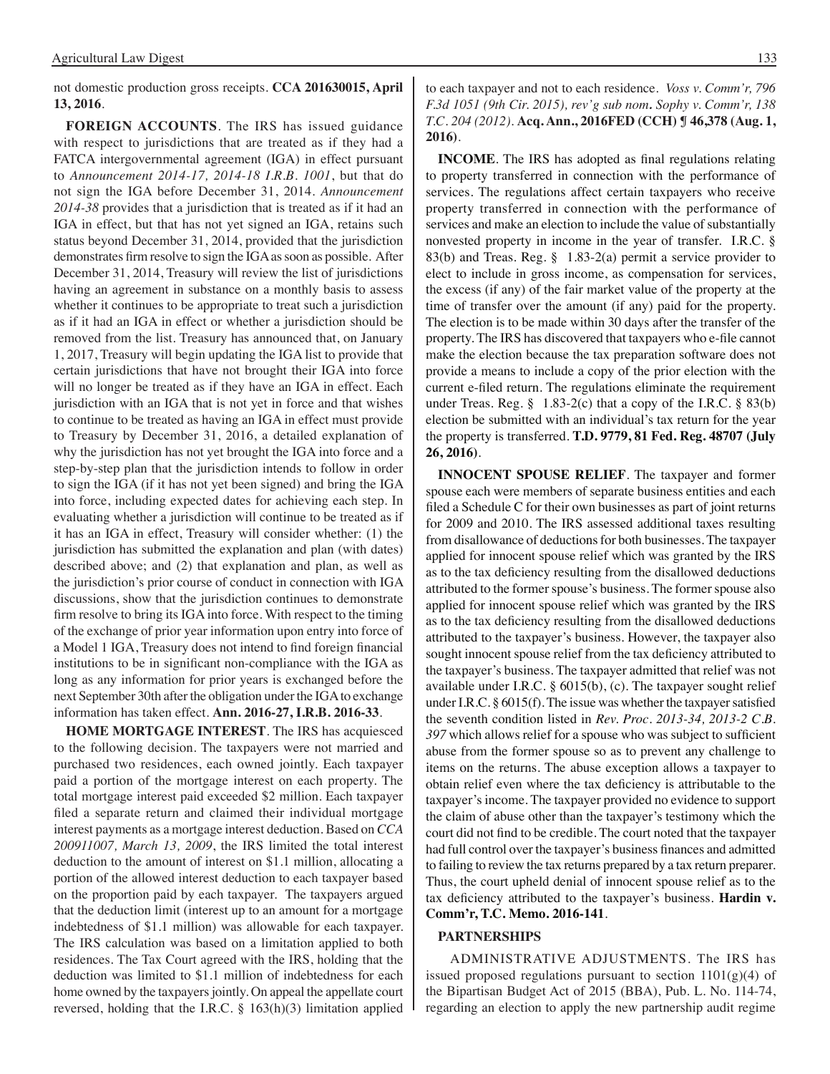not domestic production gross receipts. **CCA 201630015, April 13, 2016**.

**FOREIGN ACCOUNTS**. The IRS has issued guidance with respect to jurisdictions that are treated as if they had a FATCA intergovernmental agreement (IGA) in effect pursuant to *Announcement 2014-17, 2014-18 I.R.B. 1001*, but that do not sign the IGA before December 31, 2014. *Announcement 2014-38* provides that a jurisdiction that is treated as if it had an IGA in effect, but that has not yet signed an IGA, retains such status beyond December 31, 2014, provided that the jurisdiction demonstrates firm resolve to sign the IGA as soon as possible. After December 31, 2014, Treasury will review the list of jurisdictions having an agreement in substance on a monthly basis to assess whether it continues to be appropriate to treat such a jurisdiction as if it had an IGA in effect or whether a jurisdiction should be removed from the list. Treasury has announced that, on January 1, 2017, Treasury will begin updating the IGA list to provide that certain jurisdictions that have not brought their IGA into force will no longer be treated as if they have an IGA in effect. Each jurisdiction with an IGA that is not yet in force and that wishes to continue to be treated as having an IGA in effect must provide to Treasury by December 31, 2016, a detailed explanation of why the jurisdiction has not yet brought the IGA into force and a step-by-step plan that the jurisdiction intends to follow in order to sign the IGA (if it has not yet been signed) and bring the IGA into force, including expected dates for achieving each step. In evaluating whether a jurisdiction will continue to be treated as if it has an IGA in effect, Treasury will consider whether: (1) the jurisdiction has submitted the explanation and plan (with dates) described above; and (2) that explanation and plan, as well as the jurisdiction's prior course of conduct in connection with IGA discussions, show that the jurisdiction continues to demonstrate firm resolve to bring its IGA into force. With respect to the timing of the exchange of prior year information upon entry into force of a Model 1 IGA, Treasury does not intend to find foreign financial institutions to be in significant non-compliance with the IGA as long as any information for prior years is exchanged before the next September 30th after the obligation under the IGA to exchange information has taken effect. **Ann. 2016-27, I.R.B. 2016-33**.

**HOME MORTGAGE INTEREST**. The IRS has acquiesced to the following decision. The taxpayers were not married and purchased two residences, each owned jointly. Each taxpayer paid a portion of the mortgage interest on each property. The total mortgage interest paid exceeded \$2 million. Each taxpayer filed a separate return and claimed their individual mortgage interest payments as a mortgage interest deduction. Based on *CCA 200911007, March 13, 2009*, the IRS limited the total interest deduction to the amount of interest on \$1.1 million, allocating a portion of the allowed interest deduction to each taxpayer based on the proportion paid by each taxpayer. The taxpayers argued that the deduction limit (interest up to an amount for a mortgage indebtedness of \$1.1 million) was allowable for each taxpayer. The IRS calculation was based on a limitation applied to both residences. The Tax Court agreed with the IRS, holding that the deduction was limited to \$1.1 million of indebtedness for each home owned by the taxpayers jointly. On appeal the appellate court reversed, holding that the I.R.C. § 163(h)(3) limitation applied

#### to each taxpayer and not to each residence. *Voss v. Comm'r, 796 F.3d 1051 (9th Cir. 2015), rev'g sub nom. Sophy v. Comm'r, 138 T.C. 204 (2012)*. **Acq. Ann., 2016FED (CCH) ¶ 46,378 (Aug. 1, 2016)**.

**INCOME**. The IRS has adopted as final regulations relating to property transferred in connection with the performance of services. The regulations affect certain taxpayers who receive property transferred in connection with the performance of services and make an election to include the value of substantially nonvested property in income in the year of transfer. I.R.C. § 83(b) and Treas. Reg. § 1.83-2(a) permit a service provider to elect to include in gross income, as compensation for services, the excess (if any) of the fair market value of the property at the time of transfer over the amount (if any) paid for the property. The election is to be made within 30 days after the transfer of the property. The IRS has discovered that taxpayers who e-file cannot make the election because the tax preparation software does not provide a means to include a copy of the prior election with the current e-filed return. The regulations eliminate the requirement under Treas. Reg.  $\S$  1.83-2(c) that a copy of the I.R.C.  $\S$  83(b) election be submitted with an individual's tax return for the year the property is transferred. **T.D. 9779, 81 Fed. Reg. 48707 (July 26, 2016)**.

**INNOCENT SPOUSE RELIEF**. The taxpayer and former spouse each were members of separate business entities and each filed a Schedule C for their own businesses as part of joint returns for 2009 and 2010. The IRS assessed additional taxes resulting from disallowance of deductions for both businesses. The taxpayer applied for innocent spouse relief which was granted by the IRS as to the tax deficiency resulting from the disallowed deductions attributed to the former spouse's business. The former spouse also applied for innocent spouse relief which was granted by the IRS as to the tax deficiency resulting from the disallowed deductions attributed to the taxpayer's business. However, the taxpayer also sought innocent spouse relief from the tax deficiency attributed to the taxpayer's business. The taxpayer admitted that relief was not available under I.R.C. § 6015(b), (c). The taxpayer sought relief under I.R.C. § 6015(f). The issue was whether the taxpayer satisfied the seventh condition listed in *Rev. Proc. 2013-34, 2013-2 C.B. 397* which allows relief for a spouse who was subject to sufficient abuse from the former spouse so as to prevent any challenge to items on the returns. The abuse exception allows a taxpayer to obtain relief even where the tax deficiency is attributable to the taxpayer's income. The taxpayer provided no evidence to support the claim of abuse other than the taxpayer's testimony which the court did not find to be credible. The court noted that the taxpayer had full control over the taxpayer's business finances and admitted to failing to review the tax returns prepared by a tax return preparer. Thus, the court upheld denial of innocent spouse relief as to the tax deficiency attributed to the taxpayer's business. **Hardin v. Comm'r, T.C. Memo. 2016-141**.

#### **PARTNERSHIPS**

 ADMINISTRATIVE ADJUSTMENTS. The IRS has issued proposed regulations pursuant to section 1101(g)(4) of the Bipartisan Budget Act of 2015 (BBA), Pub. L. No. 114-74, regarding an election to apply the new partnership audit regime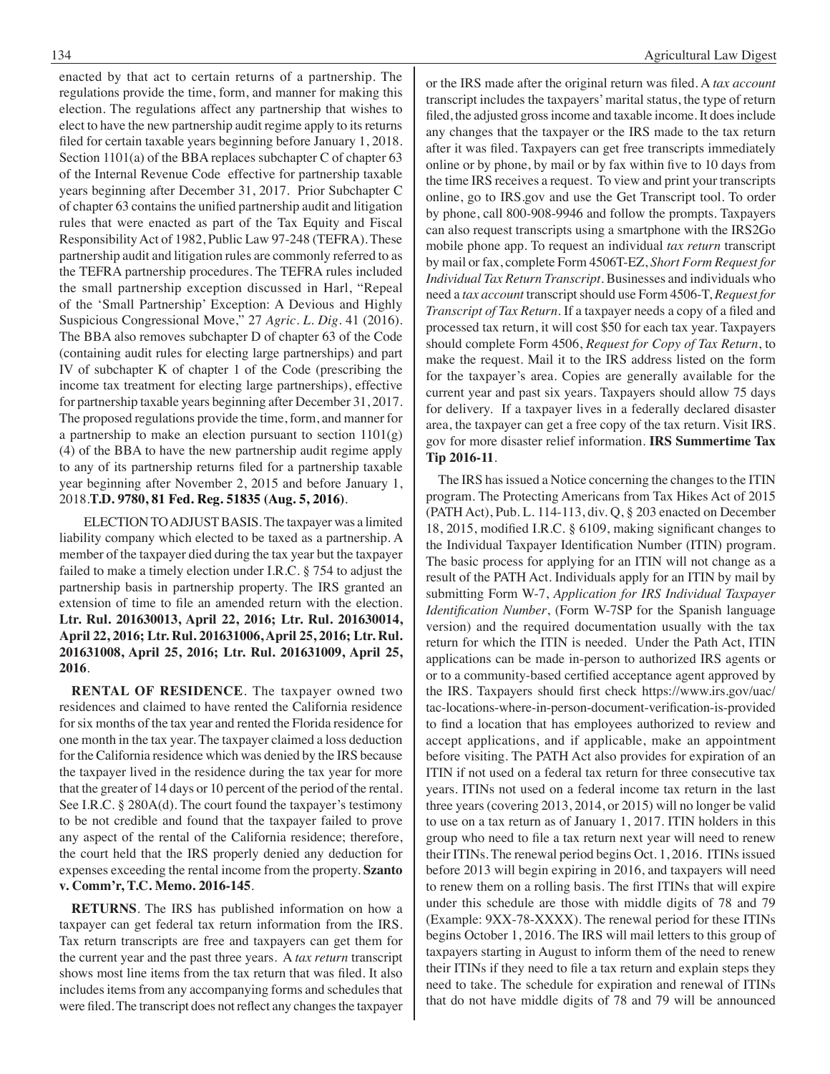enacted by that act to certain returns of a partnership. The regulations provide the time, form, and manner for making this election. The regulations affect any partnership that wishes to elect to have the new partnership audit regime apply to its returns filed for certain taxable years beginning before January 1, 2018. Section 1101(a) of the BBA replaces subchapter C of chapter 63 of the Internal Revenue Code effective for partnership taxable years beginning after December 31, 2017. Prior Subchapter C of chapter 63 contains the unified partnership audit and litigation rules that were enacted as part of the Tax Equity and Fiscal Responsibility Act of 1982, Public Law 97-248 (TEFRA). These partnership audit and litigation rules are commonly referred to as the TEFRA partnership procedures. The TEFRA rules included the small partnership exception discussed in Harl, "Repeal of the 'Small Partnership' Exception: A Devious and Highly Suspicious Congressional Move," 27 *Agric. L. Dig.* 41 (2016). The BBA also removes subchapter D of chapter 63 of the Code (containing audit rules for electing large partnerships) and part IV of subchapter K of chapter 1 of the Code (prescribing the income tax treatment for electing large partnerships), effective for partnership taxable years beginning after December 31, 2017. The proposed regulations provide the time, form, and manner for a partnership to make an election pursuant to section 1101(g) (4) of the BBA to have the new partnership audit regime apply to any of its partnership returns filed for a partnership taxable year beginning after November 2, 2015 and before January 1, 2018.**T.D. 9780, 81 Fed. Reg. 51835 (Aug. 5, 2016)**.

 ELECTION TO ADJUST BASIS. The taxpayer was a limited liability company which elected to be taxed as a partnership. A member of the taxpayer died during the tax year but the taxpayer failed to make a timely election under I.R.C. § 754 to adjust the partnership basis in partnership property. The IRS granted an extension of time to file an amended return with the election. **Ltr. Rul. 201630013, April 22, 2016; Ltr. Rul. 201630014, April 22, 2016; Ltr. Rul. 201631006, April 25, 2016; Ltr. Rul. 201631008, April 25, 2016; Ltr. Rul. 201631009, April 25, 2016**.

 **RENTAL OF RESIDENCE**. The taxpayer owned two residences and claimed to have rented the California residence for six months of the tax year and rented the Florida residence for one month in the tax year. The taxpayer claimed a loss deduction for the California residence which was denied by the IRS because the taxpayer lived in the residence during the tax year for more that the greater of 14 days or 10 percent of the period of the rental. See I.R.C. § 280A(d). The court found the taxpayer's testimony to be not credible and found that the taxpayer failed to prove any aspect of the rental of the California residence; therefore, the court held that the IRS properly denied any deduction for expenses exceeding the rental income from the property. **Szanto v. Comm'r, T.C. Memo. 2016-145**.

**RETURNS**. The IRS has published information on how a taxpayer can get federal tax return information from the IRS. Tax return transcripts are free and taxpayers can get them for the current year and the past three years. A *tax return* transcript shows most line items from the tax return that was filed. It also includes items from any accompanying forms and schedules that were filed. The transcript does not reflect any changes the taxpayer or the IRS made after the original return was filed. A *tax account* transcript includes the taxpayers' marital status, the type of return filed, the adjusted gross income and taxable income. It does include any changes that the taxpayer or the IRS made to the tax return after it was filed. Taxpayers can get free transcripts immediately online or by phone, by mail or by fax within five to 10 days from the time IRS receives a request. To view and print your transcripts online, go to IRS.gov and use the Get Transcript tool. To order by phone, call 800-908-9946 and follow the prompts. Taxpayers can also request transcripts using a smartphone with the IRS2Go mobile phone app. To request an individual *tax return* transcript by mail or fax, complete Form 4506T-EZ, *Short Form Request for Individual Tax Return Transcript*. Businesses and individuals who need a *tax account* transcript should use Form 4506-T, *Request for Transcript of Tax Return*. If a taxpayer needs a copy of a filed and processed tax return, it will cost \$50 for each tax year. Taxpayers should complete Form 4506, *Request for Copy of Tax Return*, to make the request. Mail it to the IRS address listed on the form for the taxpayer's area. Copies are generally available for the current year and past six years. Taxpayers should allow 75 days for delivery. If a taxpayer lives in a federally declared disaster area, the taxpayer can get a free copy of the tax return. Visit IRS. gov for more disaster relief information. **IRS Summertime Tax Tip 2016-11**.

The IRS has issued a Notice concerning the changes to the ITIN program. The Protecting Americans from Tax Hikes Act of 2015 (PATH Act), Pub. L. 114-113, div. Q, § 203 enacted on December 18, 2015, modified I.R.C. § 6109, making significant changes to the Individual Taxpayer Identification Number (ITIN) program. The basic process for applying for an ITIN will not change as a result of the PATH Act. Individuals apply for an ITIN by mail by submitting Form W-7, *Application for IRS Individual Taxpayer Identification Number*, (Form W-7SP for the Spanish language version) and the required documentation usually with the tax return for which the ITIN is needed. Under the Path Act, ITIN applications can be made in-person to authorized IRS agents or or to a community-based certified acceptance agent approved by the IRS. Taxpayers should first check https://www.irs.gov/uac/ tac-locations-where-in-person-document-verification-is-provided to find a location that has employees authorized to review and accept applications, and if applicable, make an appointment before visiting. The PATH Act also provides for expiration of an ITIN if not used on a federal tax return for three consecutive tax years. ITINs not used on a federal income tax return in the last three years (covering 2013, 2014, or 2015) will no longer be valid to use on a tax return as of January 1, 2017. ITIN holders in this group who need to file a tax return next year will need to renew their ITINs. The renewal period begins Oct. 1, 2016. ITINs issued before 2013 will begin expiring in 2016, and taxpayers will need to renew them on a rolling basis. The first ITINs that will expire under this schedule are those with middle digits of 78 and 79 (Example: 9XX-78-XXXX). The renewal period for these ITINs begins October 1, 2016. The IRS will mail letters to this group of taxpayers starting in August to inform them of the need to renew their ITINs if they need to file a tax return and explain steps they need to take. The schedule for expiration and renewal of ITINs that do not have middle digits of 78 and 79 will be announced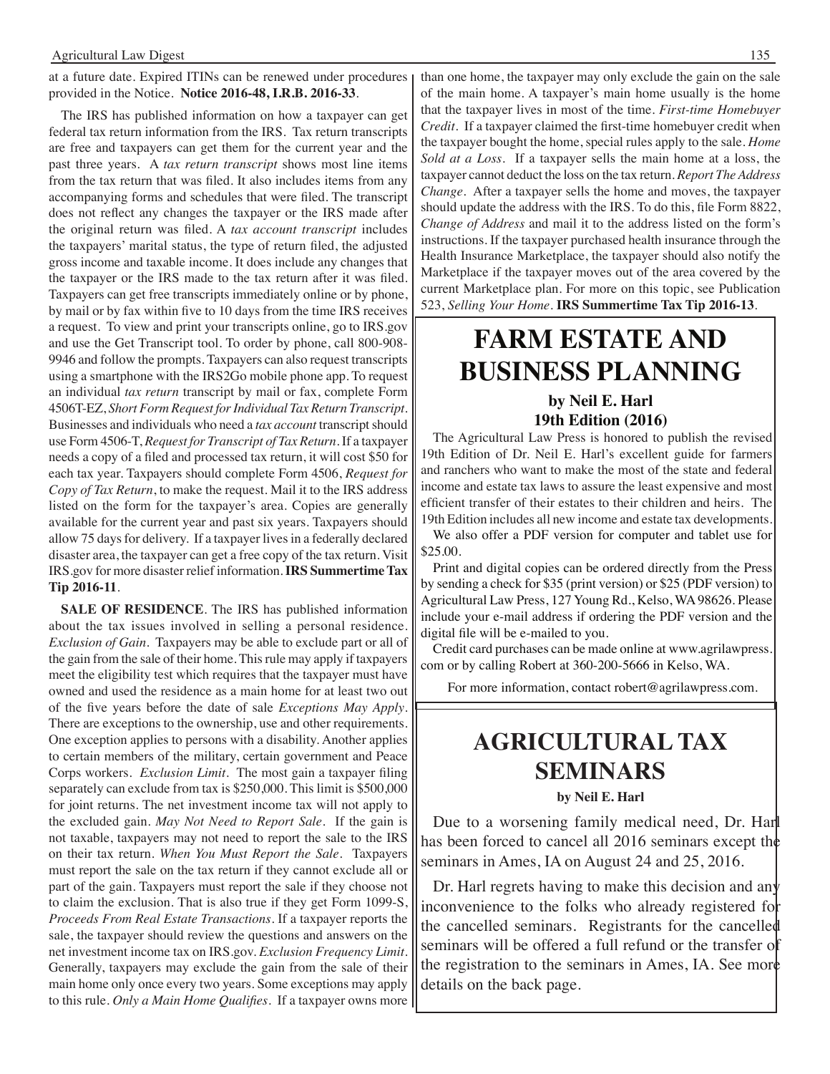at a future date. Expired ITINs can be renewed under procedures provided in the Notice. **Notice 2016-48, I.R.B. 2016-33**.

The IRS has published information on how a taxpayer can get federal tax return information from the IRS. Tax return transcripts are free and taxpayers can get them for the current year and the past three years. A *tax return transcript* shows most line items from the tax return that was filed. It also includes items from any accompanying forms and schedules that were filed. The transcript does not reflect any changes the taxpayer or the IRS made after the original return was filed. A *tax account transcript* includes the taxpayers' marital status, the type of return filed, the adjusted gross income and taxable income. It does include any changes that the taxpayer or the IRS made to the tax return after it was filed. Taxpayers can get free transcripts immediately online or by phone, by mail or by fax within five to 10 days from the time IRS receives a request. To view and print your transcripts online, go to IRS.gov and use the Get Transcript tool. To order by phone, call 800-908- 9946 and follow the prompts. Taxpayers can also request transcripts using a smartphone with the IRS2Go mobile phone app. To request an individual *tax return* transcript by mail or fax, complete Form 4506T-EZ, *Short Form Request for Individual Tax Return Transcript*. Businesses and individuals who need a *tax account* transcript should use Form 4506-T, *Request for Transcript of Tax Return*. If a taxpayer needs a copy of a filed and processed tax return, it will cost \$50 for each tax year. Taxpayers should complete Form 4506, *Request for Copy of Tax Return*, to make the request. Mail it to the IRS address listed on the form for the taxpayer's area. Copies are generally available for the current year and past six years. Taxpayers should allow 75 days for delivery. If a taxpayer lives in a federally declared disaster area, the taxpayer can get a free copy of the tax return. Visit IRS.gov for more disaster relief information. **IRS Summertime Tax Tip 2016-11**.

**SALE OF RESIDENCE**. The IRS has published information about the tax issues involved in selling a personal residence. *Exclusion of Gain*. Taxpayers may be able to exclude part or all of the gain from the sale of their home. This rule may apply if taxpayers meet the eligibility test which requires that the taxpayer must have owned and used the residence as a main home for at least two out of the five years before the date of sale *Exceptions May Apply*. There are exceptions to the ownership, use and other requirements. One exception applies to persons with a disability. Another applies to certain members of the military, certain government and Peace Corps workers. *Exclusion Limit*. The most gain a taxpayer filing separately can exclude from tax is \$250,000. This limit is \$500,000 for joint returns. The net investment income tax will not apply to the excluded gain. *May Not Need to Report Sale*. If the gain is not taxable, taxpayers may not need to report the sale to the IRS on their tax return. *When You Must Report the Sale*. Taxpayers must report the sale on the tax return if they cannot exclude all or part of the gain. Taxpayers must report the sale if they choose not to claim the exclusion. That is also true if they get Form 1099-S, *Proceeds From Real Estate Transactions*. If a taxpayer reports the sale, the taxpayer should review the questions and answers on the net investment income tax on IRS.gov. *Exclusion Frequency Limit*. Generally, taxpayers may exclude the gain from the sale of their main home only once every two years. Some exceptions may apply to this rule. *Only a Main Home Qualifies*. If a taxpayer owns more

than one home, the taxpayer may only exclude the gain on the sale of the main home. A taxpayer's main home usually is the home that the taxpayer lives in most of the time. *First-time Homebuyer Credit*. If a taxpayer claimed the first-time homebuyer credit when the taxpayer bought the home, special rules apply to the sale. *Home Sold at a Loss*. If a taxpayer sells the main home at a loss, the taxpayer cannot deduct the loss on the tax return. *Report The Address Change*. After a taxpayer sells the home and moves, the taxpayer should update the address with the IRS. To do this, file Form 8822, *Change of Address* and mail it to the address listed on the form's instructions. If the taxpayer purchased health insurance through the Health Insurance Marketplace, the taxpayer should also notify the Marketplace if the taxpayer moves out of the area covered by the current Marketplace plan. For more on this topic, see Publication 523, *Selling Your Home*. **IRS Summertime Tax Tip 2016-13**.

### **FARM ESTATE AND BUSINESS PLANNING**

#### **by Neil E. Harl 19th Edition (2016)**

The Agricultural Law Press is honored to publish the revised 19th Edition of Dr. Neil E. Harl's excellent guide for farmers and ranchers who want to make the most of the state and federal income and estate tax laws to assure the least expensive and most efficient transfer of their estates to their children and heirs. The 19th Edition includes all new income and estate tax developments.

We also offer a PDF version for computer and tablet use for \$25.00.

Print and digital copies can be ordered directly from the Press by sending a check for \$35 (print version) or \$25 (PDF version) to Agricultural Law Press, 127 Young Rd., Kelso, WA 98626. Please include your e-mail address if ordering the PDF version and the digital file will be e-mailed to you.

Credit card purchases can be made online at www.agrilawpress. com or by calling Robert at 360-200-5666 in Kelso, WA.

For more information, contact robert@agrilawpress.com.

i

### **Agricultural tax seminars**

#### **by Neil E. Harl**

Due to a worsening family medical need, Dr. Harl has been forced to cancel all 2016 seminars except the seminars in Ames, IA on August 24 and 25, 2016.

Dr. Harl regrets having to make this decision and any inconvenience to the folks who already registered for the cancelled seminars. Registrants for the cancelled seminars will be offered a full refund or the transfer of the registration to the seminars in Ames, IA. See more details on the back page.